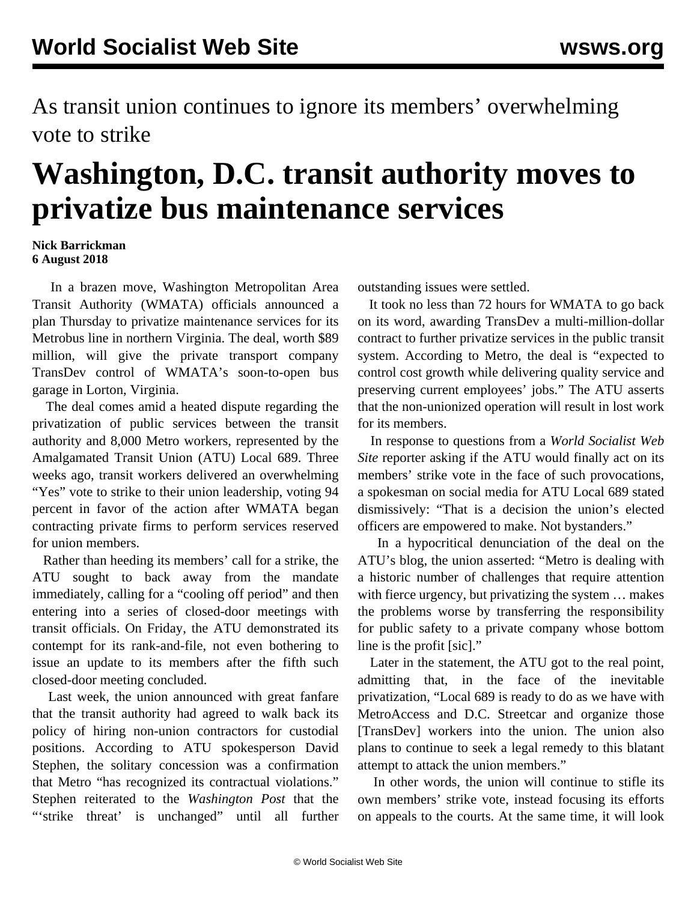As transit union continues to ignore its members' overwhelming vote to strike

## **Washington, D.C. transit authority moves to privatize bus maintenance services**

## **Nick Barrickman 6 August 2018**

 In a brazen move, Washington Metropolitan Area Transit Authority (WMATA) officials announced a plan Thursday to privatize maintenance services for its Metrobus line in northern Virginia. The deal, worth \$89 million, will give the private transport company TransDev control of WMATA's soon-to-open bus garage in Lorton, Virginia.

 The deal comes amid a heated dispute regarding the privatization of public services between the transit authority and 8,000 Metro workers, represented by the Amalgamated Transit Union (ATU) Local 689. Three weeks ago, transit workers delivered an overwhelming "Yes" vote to strike to their union leadership, voting 94 percent in favor of the action after WMATA began contracting private firms to perform services reserved for union members.

 Rather than heeding its members' call for a strike, the ATU sought to back away from the mandate immediately, calling for a ["cooling](/en/articles/2018/07/21/metr-j21.html) [off](/en/articles/2018/07/21/metr-j21.html) [period" a](/en/articles/2018/07/21/metr-j21.html)nd then entering into a series of closed-door meetings with transit officials. On Friday, the ATU demonstrated its contempt for its rank-and-file, not even bothering to issue an update to its members after the fifth such closed-door meeting concluded.

 Last week, the union announced with great fanfare that the transit authority had agreed to walk back its policy of hiring non-union contractors for custodial positions. According to ATU spokesperson David Stephen, the solitary concession was a confirmation that Metro "has recognized its contractual violations." Stephen reiterated to the *Washington Post* that the "strike threat' is unchanged" until all further outstanding issues were settled.

 It took no less than 72 hours for WMATA to go back on its word, awarding TransDev a multi-million-dollar contract to further privatize services in the public transit system. According to Metro, the deal is "expected to control cost growth while delivering quality service and preserving current employees' jobs." The ATU asserts that the non-unionized operation will result in lost work for its members.

 In response to questions from a *World Socialist Web Site* reporter asking if the ATU would finally act on its members' strike vote in the face of such provocations, a spokesman on social media for ATU Local 689 stated dismissively: "That is a decision the union's elected officers are empowered to make. Not bystanders."

 In a hypocritical denunciation of the deal on the ATU's blog, the union asserted: "Metro is dealing with a historic number of challenges that require attention with fierce urgency, but privatizing the system … makes the problems worse by transferring the responsibility for public safety to a private company whose bottom line is the profit [sic]."

 Later in the statement, the ATU got to the real point, admitting that, in the face of the inevitable privatization, "Local 689 is ready to do as we have with MetroAccess and D.C. Streetcar and organize those [TransDev] workers into the union. The union also plans to continue to seek a legal remedy to this blatant attempt to attack the union members."

 In other words, the union will continue to stifle its own members' strike vote, instead focusing its efforts on appeals to the courts. At the same time, it will look